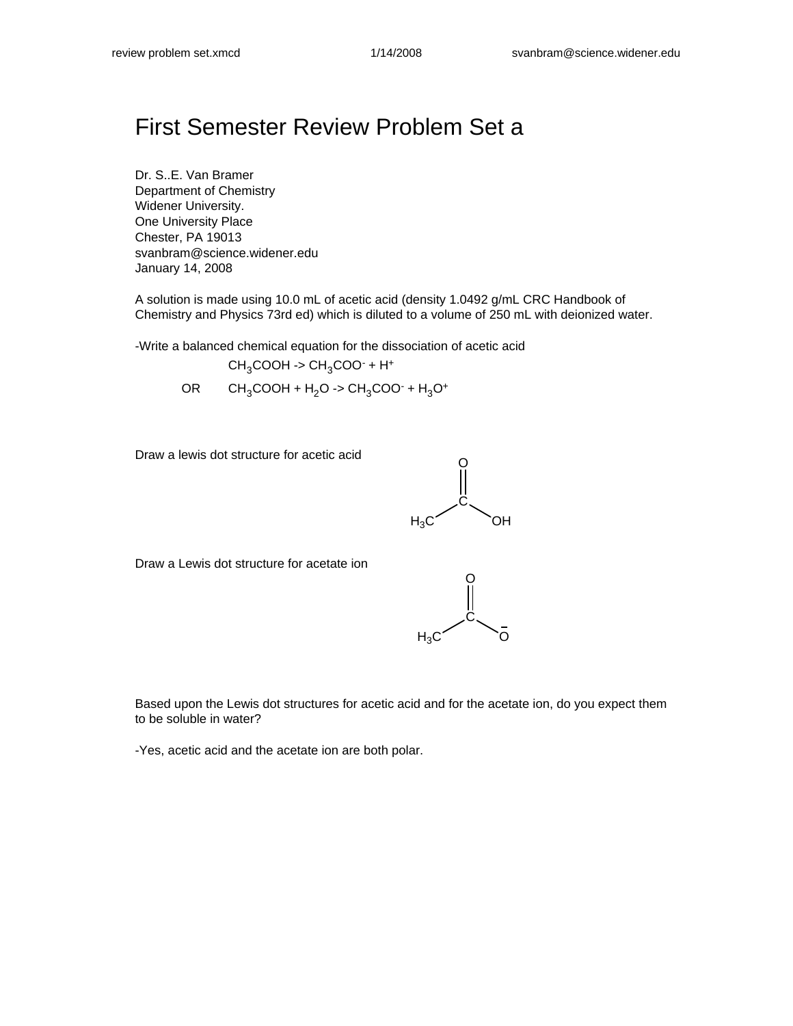## First Semester Review Problem Set a

Dr. S..E. Van Bramer Department of Chemistry Widener University. One University Place Chester, PA 19013 svanbram@science.widener.edu January 14, 2008

A solution is made using 10.0 mL of acetic acid (density 1.0492 g/mL CRC Handbook of Chemistry and Physics 73rd ed) which is diluted to a volume of 250 mL with deionized water.

-Write a balanced chemical equation for the dissociation of acetic acid

$$
CH_3COOH \rightarrow CH_3COO^{\cdot} + H^+
$$

 $OR$  CH<sub>3</sub>COOH + H<sub>2</sub>O -> CH<sub>3</sub>COO<sup>-</sup> + H<sub>3</sub>O<sup>+</sup>

Draw a lewis dot structure for acetic acid



Draw a Lewis dot structure for acetate ion



Based upon the Lewis dot structures for acetic acid and for the acetate ion, do you expect them to be soluble in water?

-Yes, acetic acid and the acetate ion are both polar.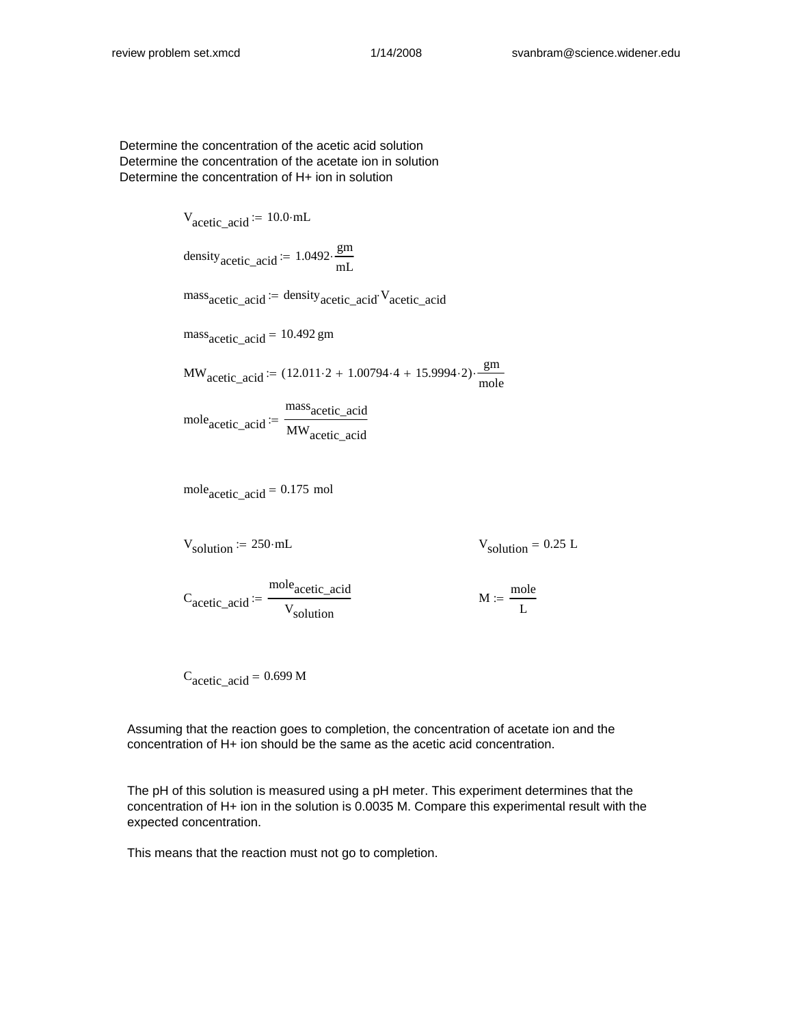Determine the concentration of the acetic acid solution Determine the concentration of the acetate ion in solution Determine the concentration of H+ ion in solution

V<sub>acetic\_acid</sub> := 10.0·mL  
\ndensity<sub>acetic\_acid</sub> := 1.0492·
$$
\frac{gm}{mL}
$$
  
\nmass<sub>acetic\_acid</sub> := density<sub>acetic\_acid</sub>·V<sub>acetic\_acid</sub>  
\nmass<sub>acetic\_acid</sub> = 10.492 gm  
\nMW<sub>acetic\_acid</sub> := (12.011·2 + 1.00794·4 + 15.9994·2)· $\frac{gm}{mole}$   
\nmole<sub>acetic\_acid</sub> :=  $\frac{\text{massacetic_acid}}{\text{MWacetic_acid}}$   
\nmole<sub>acetic\_acid</sub> = 0.175 mol  
\nV<sub>solution</sub> := 250·mL V<sub>solution</sub> = 0.25 L

C<sub>acetic</sub>\_acid mole<sub>acetic\_acid</sub> V<sub>solution</sub>  $:= \frac{1}{\sqrt{2\pi}}$  M

mole L :=

 $C_{\text{acetic\_acid}} = 0.699 \text{ M}$ 

Assuming that the reaction goes to completion, the concentration of acetate ion and the concentration of H+ ion should be the same as the acetic acid concentration.

The pH of this solution is measured using a pH meter. This experiment determines that the concentration of H+ ion in the solution is 0.0035 M. Compare this experimental result with the expected concentration.

This means that the reaction must not go to completion.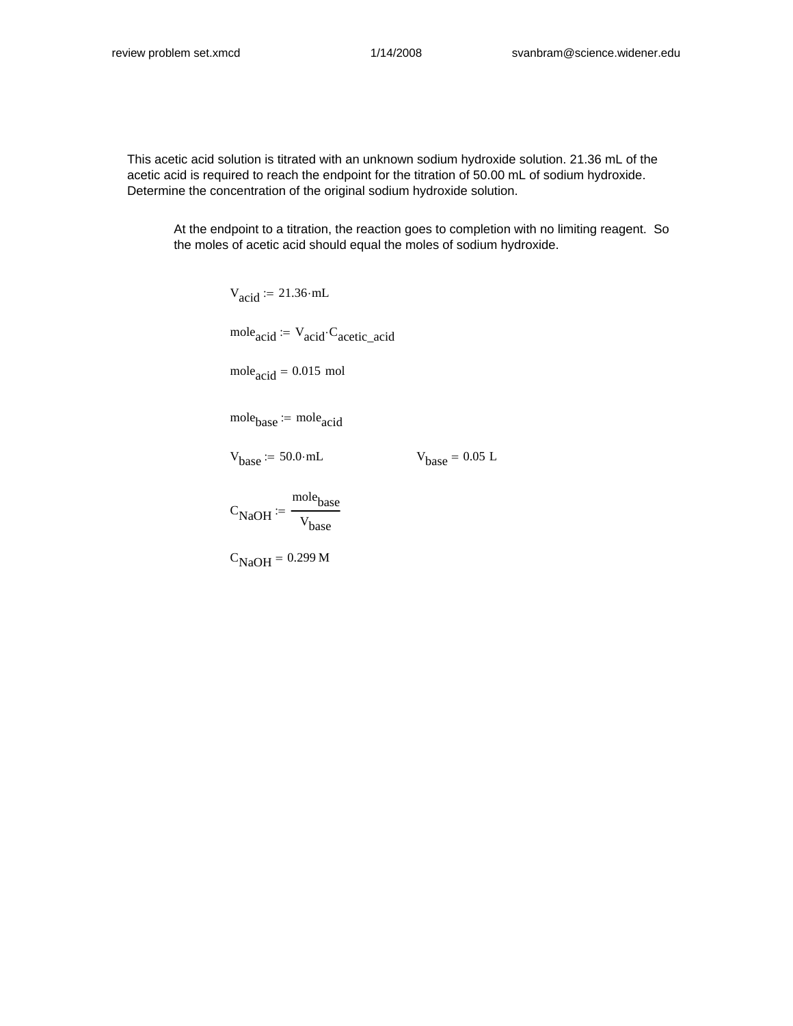This acetic acid solution is titrated with an unknown sodium hydroxide solution. 21.36 mL of the acetic acid is required to reach the endpoint for the titration of 50.00 mL of sodium hydroxide. Determine the concentration of the original sodium hydroxide solution.

At the endpoint to a titration, the reaction goes to completion with no limiting reagent. So the moles of acetic acid should equal the moles of sodium hydroxide.

> $V_{\text{acid}}$  := 21.36 mL  $mole_{acid} := V_{acid} \cdot C_{acetic\_acid}$  $mole<sub>acid</sub> = 0.015$  mol  $mole<sub>base</sub> := mole<sub>acid</sub>$

 $V_{base}$  := 50.0 mL  $V_{base}$  = 0.05 L

 $\rm{C_{NaOH}}$ mole<sub>base</sub> Vbase :=

 $C<sub>NaOH</sub> = 0.299 M$